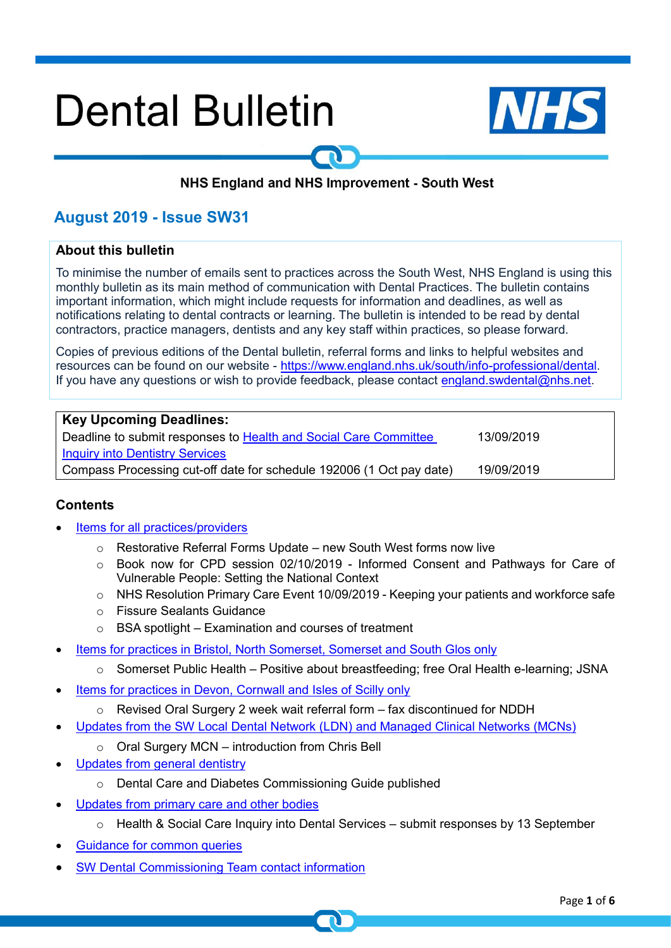# **Dental Bulletin**



# NHS England and NHS Improvement - South West

# **August 2019 - Issue SW31**

# **About this bulletin**

To minimise the number of emails sent to practices across the South West, NHS England is using this monthly bulletin as its main method of communication with Dental Practices. The bulletin contains important information, which might include requests for information and deadlines, as well as notifications relating to dental contracts or learning. The bulletin is intended to be read by dental contractors, practice managers, dentists and any key staff within practices, so please forward.

Copies of previous editions of the Dental bulletin, referral forms and links to helpful websites and resources can be found on our website - [https://www.england.nhs.uk/south/info-professional/dental.](https://www.england.nhs.uk/south/info-professional/dental/dcis/forms/) If you have any questions or wish to provide feedback, please contact [england.swdental@nhs.net.](mailto:england.swdental@nhs.net)

| <b>Key Upcoming Deadlines:</b>                                       |            |
|----------------------------------------------------------------------|------------|
| Deadline to submit responses to Health and Social Care Committee     | 13/09/2019 |
| <b>Inquiry into Dentistry Services</b>                               |            |
| Compass Processing cut-off date for schedule 192006 (1 Oct pay date) | 19/09/2019 |

# <span id="page-0-0"></span>**Contents**

- [Items for all practices/providers](#page-1-0)
	- o Restorative Referral Forms Update new South West forms now live
	- o Book now for CPD session 02/10/2019 Informed Consent and Pathways for Care of Vulnerable People: Setting the National Context
	- $\circ$  NHS Resolution Primary Care Event 10/09/2019 Keeping your patients and workforce safe
	- o Fissure Sealants Guidance
	- $\circ$  BSA spotlight Examination and courses of treatment
- [Items for practices in Bristol, North Somerset, Somerset and South Glos only](#page-2-0)
	- $\circ$  Somerset Public Health Positive about breastfeeding; free Oral Health e-learning; JSNA
- Items for practices in [Devon, Cornwall and Isles of Scilly only](#page-3-0)
	- o Revised Oral Surgery 2 week wait referral form fax discontinued for NDDH
- [Updates from the SW Local Dental Network \(LDN\) and Managed Clinical Networks \(MCNs\)](#page-3-1)
	- o Oral Surgery MCN introduction from Chris Bell
- [Updates from general dentistry](#page-4-0)
	- o Dental Care and Diabetes Commissioning Guide published
- [Updates from primary care and other bodies](#page-4-1)
	- $\circ$  Health & Social Care Inquiry into Dental Services submit responses by 13 September
- Guidance for [common queries](#page-5-0)
- [SW Dental Commissioning Team contact information](#page-5-1)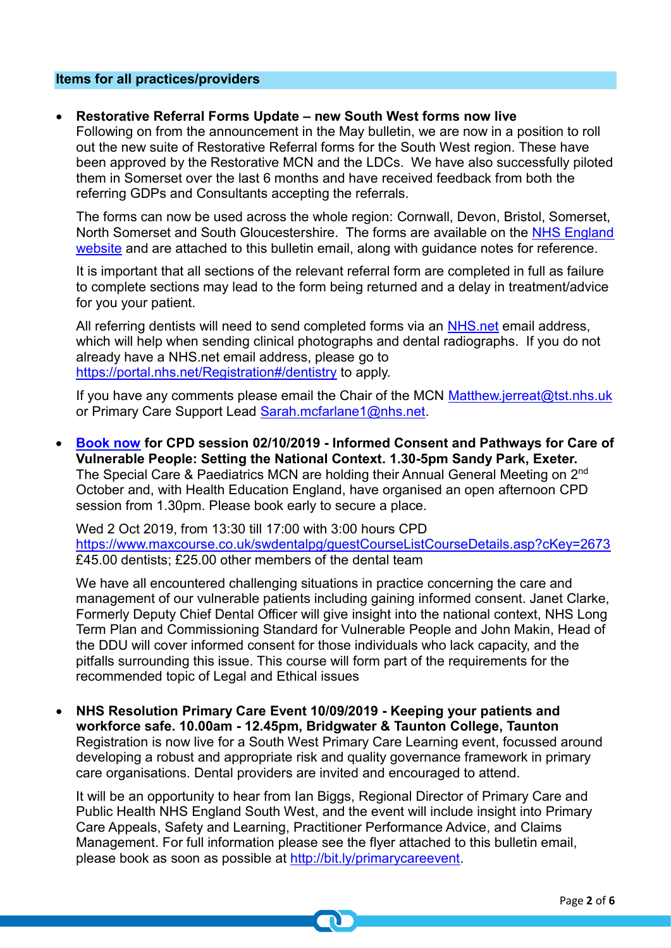# <span id="page-1-0"></span>**Items for all practices/providers**

### • **Restorative Referral Forms Update – new South West forms now live**

Following on from the announcement in the May bulletin, we are now in a position to roll out the new suite of Restorative Referral forms for the South West region. These have been approved by the Restorative MCN and the LDCs. We have also successfully piloted them in Somerset over the last 6 months and have received feedback from both the referring GDPs and Consultants accepting the referrals.

The forms can now be used across the whole region: Cornwall, Devon, Bristol, Somerset, North Somerset and South Gloucestershire. The forms are available on the [NHS England](https://www.england.nhs.uk/south/info-professional/dental/dcis/forms/)  [website](https://www.england.nhs.uk/south/info-professional/dental/dcis/forms/) and are attached to this bulletin email, along with guidance notes for reference.

It is important that all sections of the relevant referral form are completed in full as failure to complete sections may lead to the form being returned and a delay in treatment/advice for you your patient.

All referring dentists will need to send completed forms via an NHS net email address, which will help when sending clinical photographs and dental radiographs. If you do not already have a NHS.net email address, please go to <https://portal.nhs.net/Registration#/dentistry> to apply.

If you have any comments please email the Chair of the MCN [Matthew.jerreat@tst.nhs.uk](mailto:Matthew.jerreat@tst.nhs.uk) or Primary Care Support Lead [Sarah.mcfarlane1@nhs.net.](mailto:Sarah.mcfarlane1@nhs.net)

• **[Book now](https://www.maxcourse.co.uk/swdentalpg/guestCourseListCourseDetails.asp?cKey=2673) for CPD session 02/10/2019 - Informed Consent and Pathways for Care of Vulnerable People: Setting the National Context. 1.30-5pm Sandy Park, Exeter.** The Special Care & Paediatrics MCN are holding their Annual General Meeting on 2<sup>nd</sup> October and, with Health Education England, have organised an open afternoon CPD session from 1.30pm. Please book early to secure a place.

Wed 2 Oct 2019, from 13:30 till 17:00 with 3:00 hours CPD <https://www.maxcourse.co.uk/swdentalpg/guestCourseListCourseDetails.asp?cKey=2673> £45.00 dentists; £25.00 other members of the dental team

We have all encountered challenging situations in practice concerning the care and management of our vulnerable patients including gaining informed consent. Janet Clarke, Formerly Deputy Chief Dental Officer will give insight into the national context, NHS Long Term Plan and Commissioning Standard for Vulnerable People and John Makin, Head of the DDU will cover informed consent for those individuals who lack capacity, and the pitfalls surrounding this issue. This course will form part of the requirements for the recommended topic of Legal and Ethical issues

• **NHS Resolution Primary Care Event 10/09/2019 - Keeping your patients and workforce safe. 10.00am - 12.45pm, Bridgwater & Taunton College, Taunton** Registration is now live for a South West Primary Care Learning event, focussed around developing a robust and appropriate risk and quality governance framework in primary care organisations. Dental providers are invited and encouraged to attend.

It will be an opportunity to hear from Ian Biggs, Regional Director of Primary Care and Public Health NHS England South West, and the event will include insight into Primary Care Appeals, Safety and Learning, Practitioner Performance Advice, and Claims Management. For full information please see the flyer attached to this bulletin email, please book as soon as possible at [http://bit.ly/primarycareevent.](http://bit.ly/primarycareevent)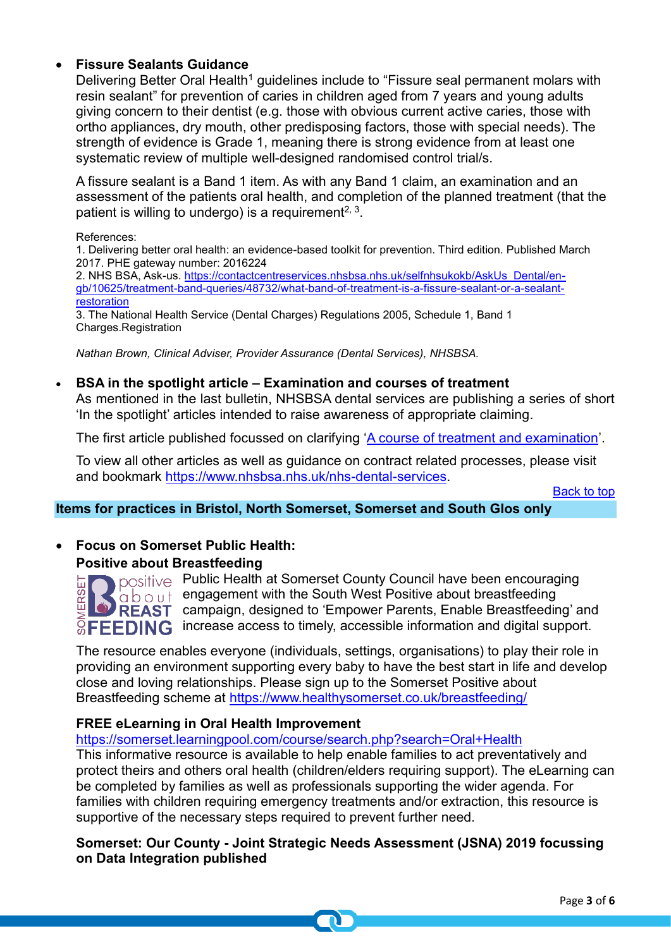# • **Fissure Sealants Guidance**

Delivering Better Oral Health<sup>1</sup> guidelines include to "Fissure seal permanent molars with resin sealant" for prevention of caries in children aged from 7 years and young adults giving concern to their dentist (e.g. those with obvious current active caries, those with ortho appliances, dry mouth, other predisposing factors, those with special needs). The strength of evidence is Grade 1, meaning there is strong evidence from at least one systematic review of multiple well-designed randomised control trial/s.

A fissure sealant is a Band 1 item. As with any Band 1 claim, an examination and an assessment of the patients oral health, and completion of the planned treatment (that the patient is willing to undergo) is a requirement<sup>2, 3</sup>.

References:

1. Delivering better oral health: an evidence-based toolkit for prevention. Third edition. Published March 2017. PHE gateway number: 2016224

2. NHS BSA, Ask-us. [https://contactcentreservices.nhsbsa.nhs.uk/selfnhsukokb/AskUs\\_Dental/en](https://contactcentreservices.nhsbsa.nhs.uk/selfnhsukokb/AskUs_Dental/en-gb/10625/treatment-band-queries/48732/what-band-of-treatment-is-a-fissure-sealant-or-a-sealant-restoration)[gb/10625/treatment-band-queries/48732/what-band-of-treatment-is-a-fissure-sealant-or-a-sealant](https://contactcentreservices.nhsbsa.nhs.uk/selfnhsukokb/AskUs_Dental/en-gb/10625/treatment-band-queries/48732/what-band-of-treatment-is-a-fissure-sealant-or-a-sealant-restoration)[restoration](https://contactcentreservices.nhsbsa.nhs.uk/selfnhsukokb/AskUs_Dental/en-gb/10625/treatment-band-queries/48732/what-band-of-treatment-is-a-fissure-sealant-or-a-sealant-restoration)

3. The National Health Service (Dental Charges) Regulations 2005, Schedule 1, Band 1 Charges.Registration

*Nathan Brown, Clinical Adviser, Provider Assurance (Dental Services), NHSBSA.*

# • **BSA in the spotlight article – Examination and courses of treatment**

As mentioned in the last bulletin, NHSBSA dental services are publishing a series of short 'In the spotlight' articles intended to raise awareness of appropriate claiming.

The first article published focussed on clarifying ['A course of treatment and examination'](https://www.nhsbsa.nhs.uk/sites/default/files/2019-06/2019-06%20-%20In%20the%20spotlight%20-%20treatment%20and%20examination.pdf).

To view all other articles as well as guidance on contract related processes, please visit and bookmark [https://www.nhsbsa.nhs.uk/nhs-dental-services.](https://www.nhsbsa.nhs.uk/nhs-dental-services)

[Back to top](#page-0-0)

# <span id="page-2-0"></span>**Items for practices in Bristol, North Somerset, Somerset and South Glos only**

• **Focus on Somerset Public Health:** 

# **Positive about Breastfeeding**



positive Public Health at Somerset County Council have been encouraging  $\alpha$   $\alpha$  bengagement with the South West Positive about breastfeeding **CO REAST** campaign, designed to 'Empower Parents, Enable Breastfeeding' and  $\mathbb{R}$  **FFFDING** increase access to timely, accessible information and digital support.

The resource enables everyone (individuals, settings, organisations) to play their role in providing an environment supporting every baby to have the best start in life and develop close and loving relationships. Please sign up to the Somerset Positive about Breastfeeding scheme at<https://www.healthysomerset.co.uk/breastfeeding/>

# **FREE eLearning in Oral Health Improvement**

<https://somerset.learningpool.com/course/search.php?search=Oral+Health>

This informative resource is available to help enable families to act preventatively and protect theirs and others oral health (children/elders requiring support). The eLearning can be completed by families as well as professionals supporting the wider agenda. For families with children requiring emergency treatments and/or extraction, this resource is supportive of the necessary steps required to prevent further need.

**Somerset: Our County - Joint Strategic Needs Assessment (JSNA) 2019 focussing on Data Integration published**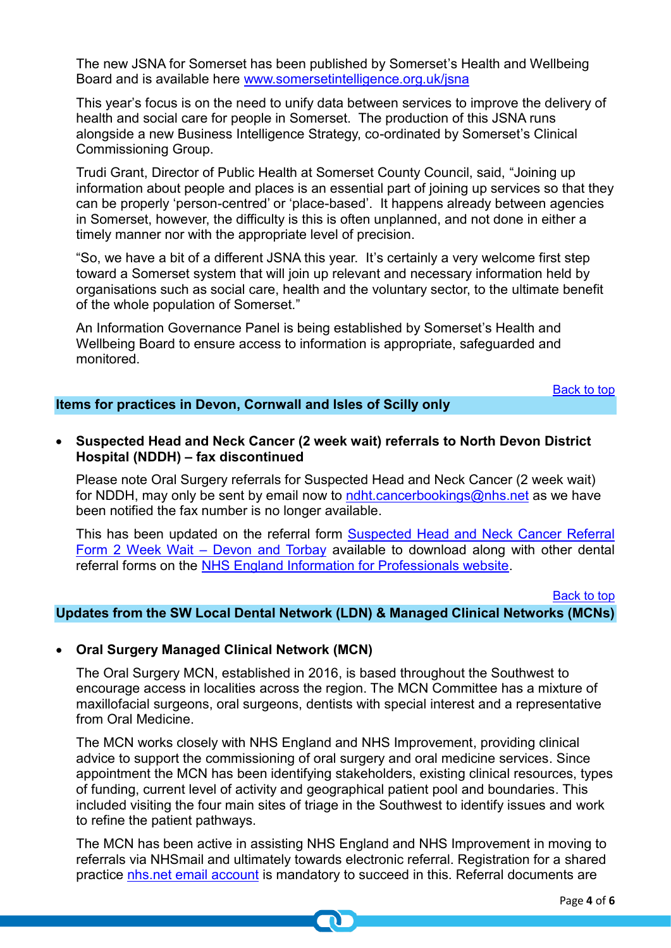The new JSNA for Somerset has been published by Somerset's Health and Wellbeing Board and is available here [www.somersetintelligence.org.uk/jsna](http://www.somersetintelligence.org.uk/jsna)

This year's focus is on the need to unify data between services to improve the delivery of health and social care for people in Somerset. The production of this JSNA runs alongside a new Business Intelligence Strategy, co-ordinated by Somerset's Clinical Commissioning Group.

Trudi Grant, Director of Public Health at Somerset County Council, said, "Joining up information about people and places is an essential part of joining up services so that they can be properly 'person-centred' or 'place-based'. It happens already between agencies in Somerset, however, the difficulty is this is often unplanned, and not done in either a timely manner nor with the appropriate level of precision.

"So, we have a bit of a different JSNA this year. It's certainly a very welcome first step toward a Somerset system that will join up relevant and necessary information held by organisations such as social care, health and the voluntary sector, to the ultimate benefit of the whole population of Somerset."

An Information Governance Panel is being established by Somerset's Health and Wellbeing Board to ensure access to information is appropriate, safeguarded and monitored.

#### [Back to top](#page-0-0)

# <span id="page-3-0"></span>**Items for practices in Devon, Cornwall and Isles of Scilly only**

• **Suspected Head and Neck Cancer (2 week wait) referrals to North Devon District Hospital (NDDH) – fax discontinued**

Please note Oral Surgery referrals for Suspected Head and Neck Cancer (2 week wait) for NDDH, may only be sent by email now to [ndht.cancerbookings@nhs.net](mailto:ndht.cancerbookings@nhs.net) as we have been notified the fax number is no longer available.

This has been updated on the referral form **Suspected Head and Neck Cancer Referral** [Form 2 Week Wait –](https://www.england.nhs.uk/south/wp-content/uploads/sites/6/2019/08/suspected-head-neck-cancer-form-v3-aug2019.docx) Devon and Torbay available to download along with other dental referral forms on the [NHS England Information for Professionals website.](https://www.england.nhs.uk/south/info-professional/dental/dcis/forms/)

#### [Back to top](#page-0-0)

## <span id="page-3-1"></span>**Updates from the SW Local Dental Network (LDN) & Managed Clinical Networks (MCNs)**

#### • **Oral Surgery Managed Clinical Network (MCN)**

The Oral Surgery MCN, established in 2016, is based throughout the Southwest to encourage access in localities across the region. The MCN Committee has a mixture of maxillofacial surgeons, oral surgeons, dentists with special interest and a representative from Oral Medicine.

The MCN works closely with NHS England and NHS Improvement, providing clinical advice to support the commissioning of oral surgery and oral medicine services. Since appointment the MCN has been identifying stakeholders, existing clinical resources, types of funding, current level of activity and geographical patient pool and boundaries. This included visiting the four main sites of triage in the Southwest to identify issues and work to refine the patient pathways.

The MCN has been active in assisting NHS England and NHS Improvement in moving to referrals via NHSmail and ultimately towards electronic referral. Registration for a shared practice nhs.net [email account](https://portal.nhs.net/Registration#/dentistry) is mandatory to succeed in this. Referral documents are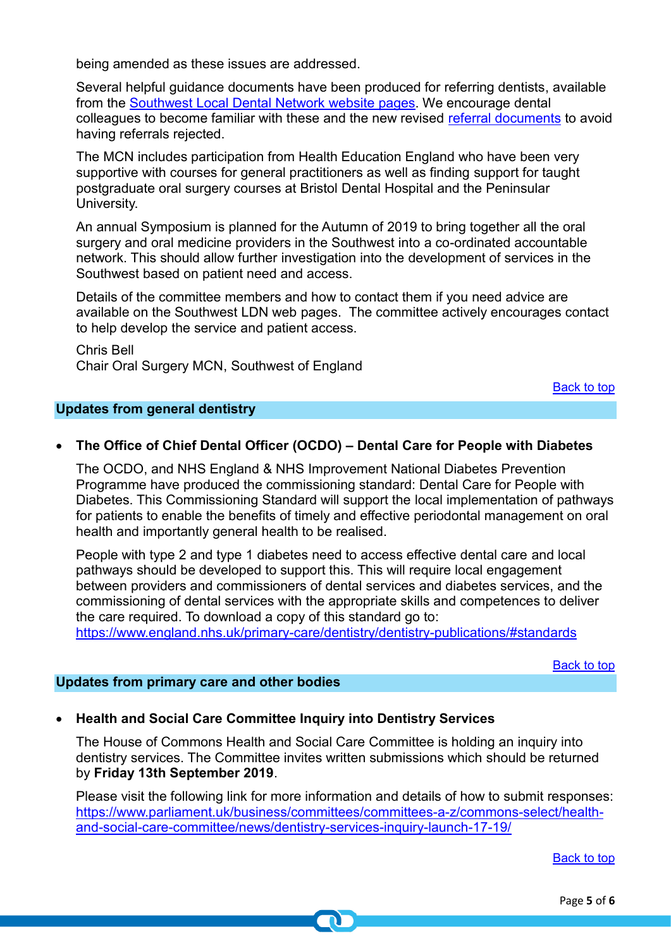being amended as these issues are addressed.

Several helpful guidance documents have been produced for referring dentists, available from the [Southwest Local Dental Network website pages.](https://www.england.nhs.uk/south/info-professional/dental/dcis/south-west-ldn/) We encourage dental colleagues to become familiar with these and the new revised [referral documents](https://www.england.nhs.uk/south/info-professional/dental/dcis/forms/) to avoid having referrals rejected.

The MCN includes participation from Health Education England who have been very supportive with courses for general practitioners as well as finding support for taught postgraduate oral surgery courses at Bristol Dental Hospital and the Peninsular University.

An annual Symposium is planned for the Autumn of 2019 to bring together all the oral surgery and oral medicine providers in the Southwest into a co-ordinated accountable network. This should allow further investigation into the development of services in the Southwest based on patient need and access.

Details of the committee members and how to contact them if you need advice are available on the Southwest LDN web pages. The committee actively encourages contact to help develop the service and patient access.

Chris Bell Chair Oral Surgery MCN, Southwest of England

[Back to top](#page-0-0)

# <span id="page-4-0"></span>**Updates from general dentistry**

# • **The Office of Chief Dental Officer (OCDO) – Dental Care for People with Diabetes**

The OCDO, and NHS England & NHS Improvement National Diabetes Prevention Programme have produced the commissioning standard: Dental Care for People with Diabetes. This Commissioning Standard will support the local implementation of pathways for patients to enable the benefits of timely and effective periodontal management on oral health and importantly general health to be realised.

People with type 2 and type 1 diabetes need to access effective dental care and local pathways should be developed to support this. This will require local engagement between providers and commissioners of dental services and diabetes services, and the commissioning of dental services with the appropriate skills and competences to deliver the care required. To download a copy of this standard go to:

<https://www.england.nhs.uk/primary-care/dentistry/dentistry-publications/#standards>

[Back to top](#page-0-0)

# <span id="page-4-1"></span>**Updates from primary care and other bodies**

# • **Health and Social Care Committee Inquiry into Dentistry Services**

The House of Commons Health and Social Care Committee is holding an inquiry into dentistry services. The Committee invites written submissions which should be returned by **Friday 13th September 2019**.

Please visit the following link for more information and details of how to submit responses: [https://www.parliament.uk/business/committees/committees-a-z/commons-select/health](https://www.parliament.uk/business/committees/committees-a-z/commons-select/health-and-social-care-committee/news/dentistry-services-inquiry-launch-17-19/)[and-social-care-committee/news/dentistry-services-inquiry-launch-17-19/](https://www.parliament.uk/business/committees/committees-a-z/commons-select/health-and-social-care-committee/news/dentistry-services-inquiry-launch-17-19/)

[Back to top](#page-0-0)